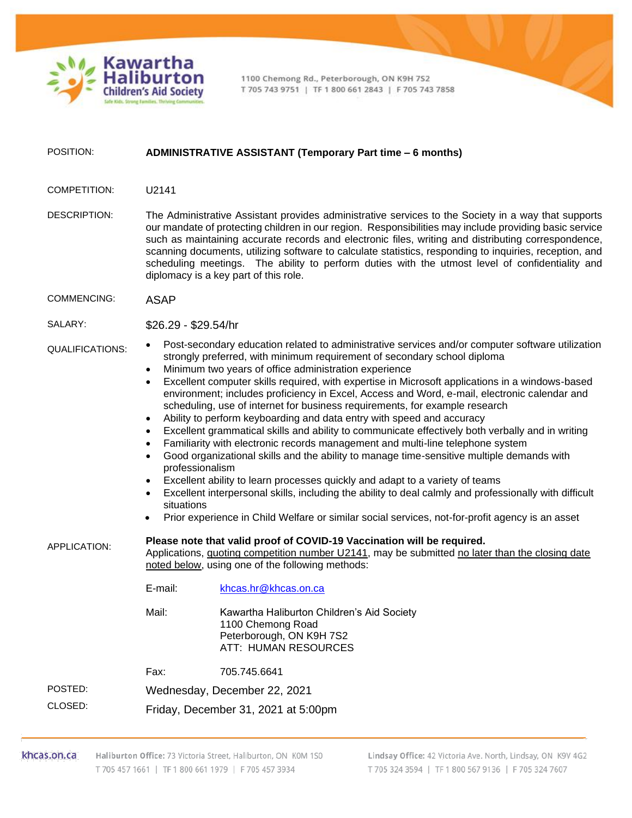

1100 Chemong Rd., Peterborough, ON K9H 7S2 T 705 743 9751 | TF 1 800 661 2843 | F 705 743 7858

## POSITION: **ADMINISTRATIVE ASSISTANT (Temporary Part time – 6 months)**

- COMPETITION: U2141
- DESCRIPTION: The Administrative Assistant provides administrative services to the Society in a way that supports our mandate of protecting children in our region. Responsibilities may include providing basic service such as maintaining accurate records and electronic files, writing and distributing correspondence, scanning documents, utilizing software to calculate statistics, responding to inquiries, reception, and scheduling meetings. The ability to perform duties with the utmost level of confidentiality and diplomacy is a key part of this role.
- COMMENCING: ASAP

SALARY: \$26.29 - \$29.54/hr

## QUALIFICATIONS:

- Post-secondary education related to administrative services and/or computer software utilization strongly preferred, with minimum requirement of secondary school diploma
	- Minimum two years of office administration experience
	- Excellent computer skills required, with expertise in Microsoft applications in a windows-based environment; includes proficiency in Excel, Access and Word, e-mail, electronic calendar and scheduling, use of internet for business requirements, for example research
	- Ability to perform keyboarding and data entry with speed and accuracy
	- Excellent grammatical skills and ability to communicate effectively both verbally and in writing
	- Familiarity with electronic records management and multi-line telephone system
	- Good organizational skills and the ability to manage time-sensitive multiple demands with professionalism
	- Excellent ability to learn processes quickly and adapt to a variety of teams
	- Excellent interpersonal skills, including the ability to deal calmly and professionally with difficult situations
	- Prior experience in Child Welfare or similar social services, not-for-profit agency is an asset

## APPLICATION: **Please note that valid proof of COVID-19 Vaccination will be required.**

Applications, quoting competition number U2141, may be submitted no later than the closing date noted below, using one of the following methods:

| E-mail: | khcas.hr@khcas.on.ca                                                                                                |
|---------|---------------------------------------------------------------------------------------------------------------------|
| Mail:   | Kawartha Haliburton Children's Aid Society<br>1100 Chemong Road<br>Peterborough, ON K9H 7S2<br>ATT: HUMAN RESOURCES |
|         |                                                                                                                     |

Fax: 705.745.6641

POSTED: Wednesday, December 22, 2021

CLOSED: Friday, December 31, 2021 at 5:00pm

khcas.on.ca Haliburton Office: 73 Victoria Street, Haliburton, ON K0M 1S0 T 705 457 1661 | TF 1 800 661 1979 | F 705 457 3934